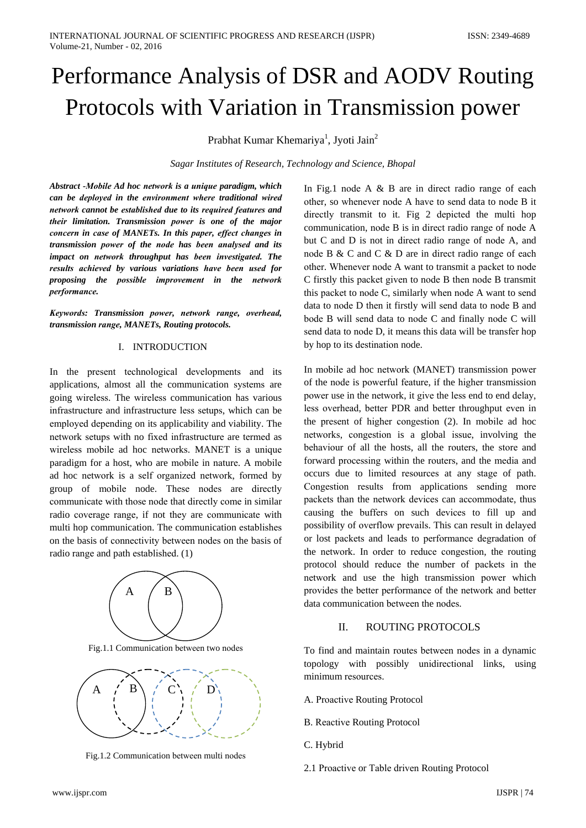# Performance Analysis of DSR and AODV Routing Protocols with Variation in Transmission power

Prabhat Kumar Khemariya<sup>1</sup>, Jyoti Jain<sup>2</sup>

Sagar Institutes of Research, Technology and Science, Bhopal

Abstract -Mobile Ad hoc network is a unique paradigm, which can be deployed in the environment where traditional wired network cannot be established due to its required features and their limitation. Transmission power is one of the major concern in case of MANETs. In this paper, effect changes in transmission power of the node has been analysed and its impact on network throughput has been investigated. The results achieved by various variations have been used for proposing the possible improvement in the network performance.

Keywords: Transmission power, network range, overhead, transmission range, MANETs, Routing protocols.

### I. INTRODUCTION

In the present technological developments and its applications, almost all the communication systems are going wireless. The wireless communication has various infrastructure and infrastructure less setups, which can be employed depending on its applicability and viability. The network setups with no fixed infrastructure are termed as wireless mobile ad hoc networks. MANET is a unique paradigm for a host, who are mobile in nature. A mobile ad hoc network is a self organized network, formed by group of mobile node. These nodes are directly communicate with those node that directly come in similar radio coverage range, if not they are communicate with multi hop communication. The communication establishes on the basis of connectivity between nodes on the basis of radio range and path established. (1)



Fig.1.1 Communication between two nodes



Fig.1.2 Communication between multi nodes

In Fig.1 node  $A \& B$  are in direct radio range of each other, so whenever node A have to send data to node B it directly transmit to it. Fig 2 depicted the multi hop communication, node B is in direct radio range of node A but C and D is not in direct radio range of node A, and node B & C and C & D are in direct radio range of each other. Whenever node A want to transmit a packet to node C firstly this packet given to node B then node B transmit this packet to node C, similarly when node A want to send data to node D then it firstly will send data to node B and bode B will send data to node C and finally node C will send data to node D, it means this data will be transfer hop by hop to its destination node.

In mobile ad hoc network (MANET) transmission power of the node is powerful feature, if the higher transmission power use in the network, it give the less end to end delay, less overhead, better PDR and better throughput even in the present of higher congestion (2). In mobile ad hoc networks, congestion is a global issue, involving the behaviour of all the hosts, all the routers, the store and forward processing within the routers, and the media and occurs due to limited resources at any stage of path. Congestion results from applications sending more packets than the network devices can accommodate, thus causing the buffers on such devices to fill up and possibility of overflow prevails. This can result in delayed or lost packets and leads to performance degradation of the network. In order to reduce congestion, the routing protocol should reduce the number of packets in the network and use the high transmission power which provides the better performance of the network and better data communication between the nodes.

#### ROUTING PROTOCOLS  $\mathbf{H}$

To find and maintain routes between nodes in a dynamic topology with possibly unidirectional links, using minimum resources.

- A. Proactive Routing Protocol
- **B.** Reactive Routing Protocol
- C. Hybrid
- 2.1 Proactive or Table driven Routing Protocol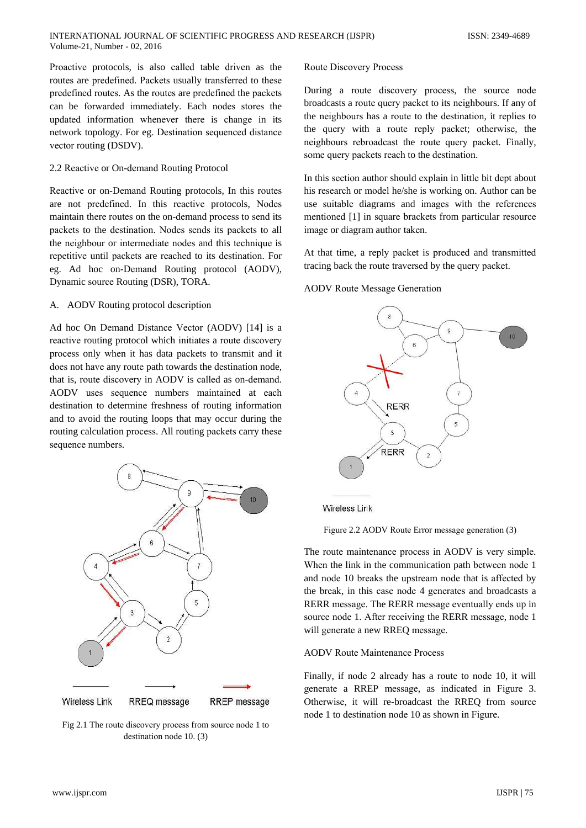Proactive protocols, is also called table driven as the routes are predefined. Packets usually transferred to these predefined routes. As the routes are predefined the packets can be forwarded immediately. Each nodes stores the updated information whenever there is change in its network topology. For eg. Destination sequenced distance vector routing (DSDV).

## 2.2 Reactive or On-demand Routing Protocol

Reactive or on-Demand Routing protocols, In this routes are not predefined. In this reactive protocols, Nodes maintain there routes on the on-demand process to send its packets to the destination. Nodes sends its packets to all the neighbour or intermediate nodes and this technique is repetitive until packets are reached to its destination. For eg. Ad hoc on-Demand Routing protocol (AODV), Dynamic source Routing (DSR), TORA.

## A. AODV Routing protocol description

Ad hoc On Demand Distance Vector (AODV) [14] is a reactive routing protocol which initiates a route discovery process only when it has data packets to transmit and it does not have any route path towards the destination node, that is, route discovery in AODV is called as on-demand. AODV uses sequence numbers maintained at each destination to determine freshness of routing information and to avoid the routing loops that may occur during the routing calculation process. All routing packets carry these sequence numbers.



Fig 2.1 The route discovery process from source node 1 to destination node 10. (3)

#### **Route Discovery Process**

During a route discovery process, the source node broadcasts a route query packet to its neighbours. If any of the neighbours has a route to the destination, it replies to the query with a route reply packet; otherwise, the neighbours rebroadcast the route query packet. Finally, some query packets reach to the destination.

In this section author should explain in little bit dept about his research or model he/she is working on. Author can be use suitable diagrams and images with the references mentioned [1] in square brackets from particular resource image or diagram author taken.

At that time, a reply packet is produced and transmitted tracing back the route traversed by the query packet.

## **AODV** Route Message Generation



**Wireless Link** 



The route maintenance process in AODV is very simple. When the link in the communication path between node 1 and node 10 breaks the upstream node that is affected by the break, in this case node 4 generates and broadcasts a RERR message. The RERR message eventually ends up in source node 1. After receiving the RERR message, node 1 will generate a new RREQ message.

## **AODV** Route Maintenance Process

Finally, if node 2 already has a route to node 10, it will generate a RREP message, as indicated in Figure 3. Otherwise, it will re-broadcast the RREQ from source node 1 to destination node 10 as shown in Figure.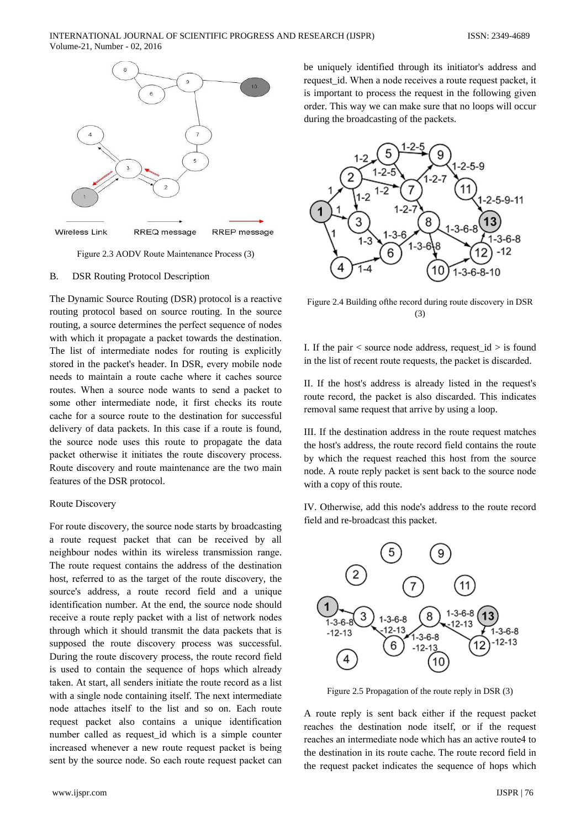

Figure 2.3 AODV Route Maintenance Process (3)

#### $B.$ **DSR Routing Protocol Description**

The Dynamic Source Routing (DSR) protocol is a reactive routing protocol based on source routing. In the source routing, a source determines the perfect sequence of nodes with which it propagate a packet towards the destination. The list of intermediate nodes for routing is explicitly stored in the packet's header. In DSR, every mobile node needs to maintain a route cache where it caches source routes. When a source node wants to send a packet to some other intermediate node, it first checks its route cache for a source route to the destination for successful delivery of data packets. In this case if a route is found, the source node uses this route to propagate the data packet otherwise it initiates the route discovery process. Route discovery and route maintenance are the two main features of the DSR protocol.

## Route Discovery

For route discovery, the source node starts by broadcasting a route request packet that can be received by all neighbour nodes within its wireless transmission range. The route request contains the address of the destination host, referred to as the target of the route discovery, the source's address, a route record field and a unique identification number. At the end, the source node should receive a route reply packet with a list of network nodes through which it should transmit the data packets that is supposed the route discovery process was successful. During the route discovery process, the route record field is used to contain the sequence of hops which already taken. At start, all senders initiate the route record as a list with a single node containing itself. The next intermediate node attaches itself to the list and so on. Each route request packet also contains a unique identification number called as request\_id which is a simple counter increased whenever a new route request packet is being sent by the source node. So each route request packet can

be uniquely identified through its initiator's address and request\_id. When a node receives a route request packet, it is important to process the request in the following given order. This way we can make sure that no loops will occur during the broadcasting of the packets.



Figure 2.4 Building of the record during route discovery in DSR  $(3)$ 

I. If the pair  $\lt$  source node address, request  $id \gt$  is found in the list of recent route requests, the packet is discarded.

II. If the host's address is already listed in the request's route record, the packet is also discarded. This indicates removal same request that arrive by using a loop.

III. If the destination address in the route request matches the host's address, the route record field contains the route by which the request reached this host from the source node. A route reply packet is sent back to the source node with a copy of this route.

IV. Otherwise, add this node's address to the route record field and re-broadcast this packet.



Figure 2.5 Propagation of the route reply in DSR (3)

A route reply is sent back either if the request packet reaches the destination node itself, or if the request reaches an intermediate node which has an active route4 to the destination in its route cache. The route record field in the request packet indicates the sequence of hops which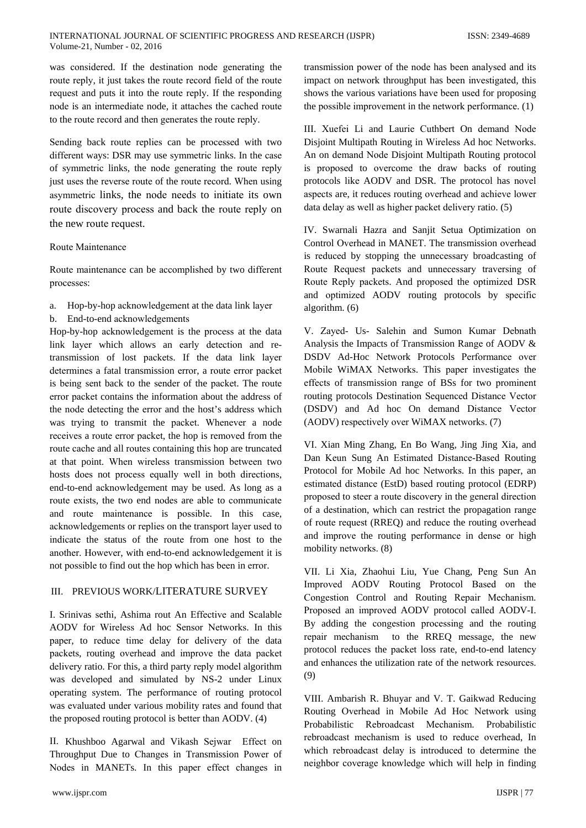was considered. If the destination node generating the route reply, it just takes the route record field of the route request and puts it into the route reply. If the responding node is an intermediate node, it attaches the cached route to the route record and then generates the route reply.

Sending back route replies can be processed with two different ways: DSR may use symmetric links. In the case of symmetric links, the node generating the route reply just uses the reverse route of the route record. When using asymmetric links, the node needs to initiate its own route discovery process and back the route reply on the new route request.

## Route Maintenance

Route maintenance can be accomplished by two different processes:

- a. Hop-by-hop acknowledgement at the data link layer
- b. End-to-end acknowledgements

Hop-by-hop acknowledgement is the process at the data link layer which allows an early detection and retransmission of lost packets. If the data link layer determines a fatal transmission error, a route error packet is being sent back to the sender of the packet. The route error packet contains the information about the address of the node detecting the error and the host's address which was trying to transmit the packet. Whenever a node receives a route error packet, the hop is removed from the route cache and all routes containing this hop are truncated at that point. When wireless transmission between two hosts does not process equally well in both directions, end-to-end acknowledgement may be used. As long as a route exists, the two end nodes are able to communicate and route maintenance is possible. In this case, acknowledgements or replies on the transport layer used to indicate the status of the route from one host to the another. However, with end-to-end acknowledgement it is not possible to find out the hop which has been in error.

# **III. PREVIOUS WORK/LITERATURE SURVEY**

I. Srinivas sethi, Ashima rout An Effective and Scalable AODV for Wireless Ad hoc Sensor Networks. In this paper, to reduce time delay for delivery of the data packets, routing overhead and improve the data packet delivery ratio. For this, a third party reply model algorithm was developed and simulated by NS-2 under Linux operating system. The performance of routing protocol was evaluated under various mobility rates and found that the proposed routing protocol is better than AODV. (4)

II. Khushboo Agarwal and Vikash Sejwar Effect on Throughput Due to Changes in Transmission Power of Nodes in MANETs. In this paper effect changes in

transmission power of the node has been analysed and its impact on network throughput has been investigated, this shows the various variations have been used for proposing the possible improvement in the network performance. (1)

III. Xuefei Li and Laurie Cuthbert On demand Node Disjoint Multipath Routing in Wireless Ad hoc Networks. An on demand Node Disjoint Multipath Routing protocol is proposed to overcome the draw backs of routing protocols like AODV and DSR. The protocol has novel aspects are, it reduces routing overhead and achieve lower data delay as well as higher packet delivery ratio. (5)

IV. Swarnali Hazra and Sanjit Setua Optimization on Control Overhead in MANET. The transmission overhead is reduced by stopping the unnecessary broadcasting of Route Request packets and unnecessary traversing of Route Reply packets. And proposed the optimized DSR and optimized AODV routing protocols by specific algorithm.  $(6)$ 

V. Zaved- Us- Salehin and Sumon Kumar Debnath Analysis the Impacts of Transmission Range of AODV & DSDV Ad-Hoc Network Protocols Performance over Mobile WiMAX Networks. This paper investigates the effects of transmission range of BSs for two prominent routing protocols Destination Sequenced Distance Vector (DSDV) and Ad hoc On demand Distance Vector (AODV) respectively over WiMAX networks. (7)

VI. Xian Ming Zhang, En Bo Wang, Jing Jing Xia, and Dan Keun Sung An Estimated Distance-Based Routing Protocol for Mobile Ad hoc Networks. In this paper, an estimated distance (EstD) based routing protocol (EDRP) proposed to steer a route discovery in the general direction of a destination, which can restrict the propagation range of route request (RREQ) and reduce the routing overhead and improve the routing performance in dense or high mobility networks. (8)

VII. Li Xia, Zhaohui Liu, Yue Chang, Peng Sun An Improved AODV Routing Protocol Based on the Congestion Control and Routing Repair Mechanism. Proposed an improved AODV protocol called AODV-I. By adding the congestion processing and the routing repair mechanism to the RREQ message, the new protocol reduces the packet loss rate, end-to-end latency and enhances the utilization rate of the network resources.  $(9)$ 

VIII. Ambarish R. Bhuyar and V. T. Gaikwad Reducing Routing Overhead in Mobile Ad Hoc Network using Probabilistic Rebroadcast Mechanism. Probabilistic rebroadcast mechanism is used to reduce overhead, In which rebroadcast delay is introduced to determine the neighbor coverage knowledge which will help in finding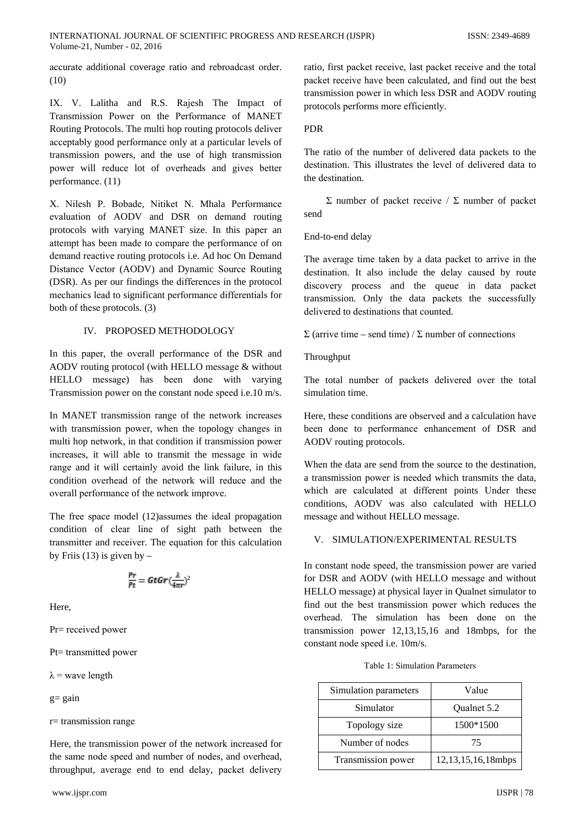accurate additional coverage ratio and rebroadcast order.  $(10)$ 

IX. V. Lalitha and R.S. Rajesh The Impact of Transmission Power on the Performance of MANET Routing Protocols. The multi hop routing protocols deliver acceptably good performance only at a particular levels of transmission powers, and the use of high transmission power will reduce lot of overheads and gives better performance. (11)

X. Nilesh P. Bobade, Nitiket N. Mhala Performance evaluation of AODV and DSR on demand routing protocols with varying MANET size. In this paper an attempt has been made to compare the performance of on demand reactive routing protocols i.e. Ad hoc On Demand Distance Vector (AODV) and Dynamic Source Routing (DSR). As per our findings the differences in the protocol mechanics lead to significant performance differentials for both of these protocols. (3)

## IV. PROPOSED METHODOLOGY

In this paper, the overall performance of the DSR and AODV routing protocol (with HELLO message & without HELLO message) has been done with varying Transmission power on the constant node speed i.e.10 m/s.

In MANET transmission range of the network increases with transmission power, when the topology changes in multi hop network, in that condition if transmission power increases, it will able to transmit the message in wide range and it will certainly avoid the link failure, in this condition overhead of the network will reduce and the overall performance of the network improve.

The free space model (12)assumes the ideal propagation condition of clear line of sight path between the transmitter and receiver. The equation for this calculation by Friis  $(13)$  is given by –

$$
\frac{Pr}{Pt} = GtGr(\frac{\lambda}{4\pi r})^2
$$

Here.

 $Pr = received power$ 

 $Pt=$  transmitted power

 $\lambda$  = wave length

$$
g = gain
$$

 $r =$  transmission range

Here, the transmission power of the network increased for the same node speed and number of nodes, and overhead, throughput, average end to end delay, packet delivery

ratio, first packet receive, last packet receive and the total packet receive have been calculated, and find out the best transmission power in which less DSR and AODV routing protocols performs more efficiently.

## **PDR**

The ratio of the number of delivered data packets to the destination. This illustrates the level of delivered data to the destination

 $\Sigma$  number of packet receive /  $\Sigma$  number of packet send

End-to-end delay

The average time taken by a data packet to arrive in the destination. It also include the delay caused by route discovery process and the queue in data packet transmission. Only the data packets the successfully delivered to destinations that counted.

 $\Sigma$  (arrive time – send time) /  $\Sigma$  number of connections

Throughput

The total number of packets delivered over the total simulation time.

Here, these conditions are observed and a calculation have been done to performance enhancement of DSR and AODV routing protocols.

When the data are send from the source to the destination, a transmission power is needed which transmits the data. which are calculated at different points Under these conditions, AODV was also calculated with HELLO message and without HELLO message.

## V. SIMULATION/EXPERIMENTAL RESULTS

In constant node speed, the transmission power are varied for DSR and AODV (with HELLO message and without HELLO message) at physical layer in Qualnet simulator to find out the best transmission power which reduces the overhead. The simulation has been done on the transmission power  $12,13,15,16$  and 18mbps, for the constant node speed i.e. 10m/s.

#### Table 1: Simulation Parameters

| Simulation parameters | Value              |
|-----------------------|--------------------|
| Simulator             | Qualnet 5.2        |
| Topology size         | 1500*1500          |
| Number of nodes       | 75                 |
| Transmission power    | 12,13,15,16,18mbps |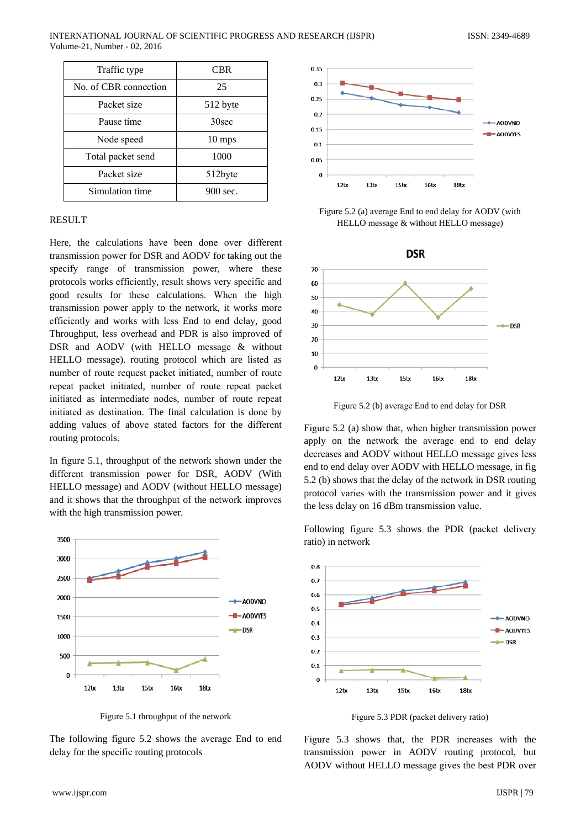| Traffic type          | <b>CBR</b>       |
|-----------------------|------------------|
| No. of CBR connection | 25               |
| Packet size           | 512 byte         |
| Pause time            | 30sec            |
| Node speed            | $10 \text{ mps}$ |
| Total packet send     | 1000             |
| Packet size           | 512byte          |
| Simulation time       | 900 sec.         |

## **RESULT**

Here, the calculations have been done over different transmission power for DSR and AODV for taking out the specify range of transmission power, where these protocols works efficiently, result shows very specific and good results for these calculations. When the high transmission power apply to the network, it works more efficiently and works with less End to end delay, good Throughput, less overhead and PDR is also improved of DSR and AODV (with HELLO message & without HELLO message). routing protocol which are listed as number of route request packet initiated, number of route repeat packet initiated, number of route repeat packet initiated as intermediate nodes, number of route repeat initiated as destination. The final calculation is done by adding values of above stated factors for the different routing protocols.

In figure 5.1, throughout of the network shown under the different transmission power for DSR, AODV (With HELLO message) and AODV (without HELLO message) and it shows that the throughput of the network improves with the high transmission power.



Figure 5.1 throughput of the network

The following figure 5.2 shows the average End to end delay for the specific routing protocols



Figure 5.2 (a) average End to end delay for AODV (with HELLO message & without HELLO message)



Figure 5.2 (b) average End to end delay for DSR

Figure 5.2 (a) show that, when higher transmission power apply on the network the average end to end delay decreases and AODV without HELLO message gives less end to end delay over AODV with HELLO message, in fig 5.2 (b) shows that the delay of the network in DSR routing protocol varies with the transmission power and it gives the less delay on 16 dBm transmission value.

Following figure 5.3 shows the PDR (packet delivery ratio) in network



Figure 5.3 PDR (packet delivery ratio)

Figure 5.3 shows that, the PDR increases with the transmission power in AODV routing protocol, but AODV without HELLO message gives the best PDR over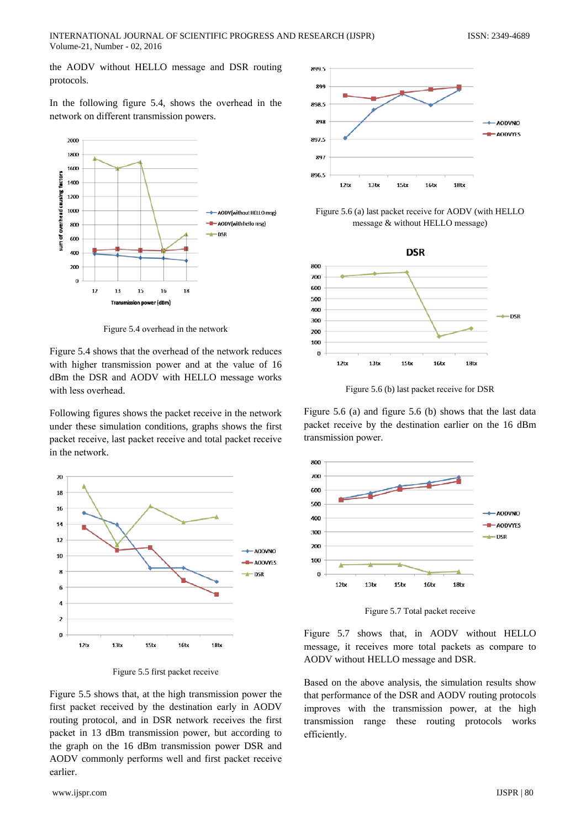the AODV without HELLO message and DSR routing protocols.

In the following figure 5.4, shows the overhead in the network on different transmission powers.



Figure 5.4 overhead in the network

Figure 5.4 shows that the overhead of the network reduces with higher transmission power and at the value of 16 dBm the DSR and AODV with HELLO message works with less overhead.

Following figures shows the packet receive in the network under these simulation conditions, graphs shows the first packet receive, last packet receive and total packet receive in the network.



Figure 5.5 first packet receive

Figure 5.5 shows that, at the high transmission power the first packet received by the destination early in AODV routing protocol, and in DSR network receives the first packet in 13 dBm transmission power, but according to the graph on the 16 dBm transmission power DSR and AODV commonly performs well and first packet receive earlier.



Figure 5.6 (a) last packet receive for AODV (with HELLO message & without HELLO message)



Figure 5.6 (b) last packet receive for DSR

Figure 5.6 (a) and figure 5.6 (b) shows that the last data packet receive by the destination earlier on the 16 dBm transmission power.



Figure 5.7 Total packet receive

Figure 5.7 shows that, in AODV without HELLO message, it receives more total packets as compare to AODV without HELLO message and DSR.

Based on the above analysis, the simulation results show that performance of the DSR and AODV routing protocols improves with the transmission power, at the high transmission range these routing protocols works efficiently.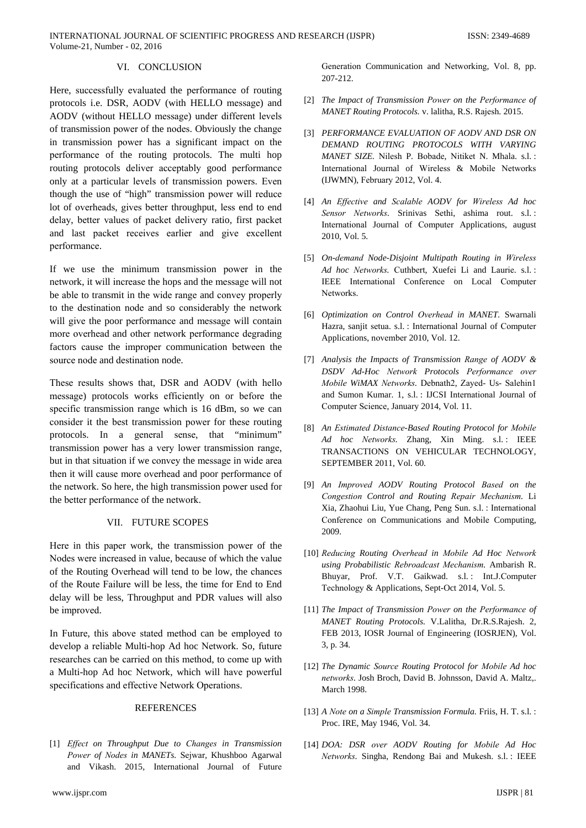## VI. CONCLUSION

Here, successfully evaluated the performance of routing protocols i.e. DSR, AODV (with HELLO message) and AODV (without HELLO message) under different levels of transmission power of the nodes. Obviously the change in transmission power has a significant impact on the performance of the routing protocols. The multi hop routing protocols deliver acceptably good performance only at a particular levels of transmission powers. Even though the use of "high" transmission power will reduce lot of overheads, gives better throughput, less end to end delay, better values of packet delivery ratio, first packet and last packet receives earlier and give excellent performance.

If we use the minimum transmission power in the network, it will increase the hops and the message will not be able to transmit in the wide range and convey properly to the destination node and so considerably the network will give the poor performance and message will contain more overhead and other network performance degrading factors cause the improper communication between the source node and destination node.

These results shows that, DSR and AODV (with hello message) protocols works efficiently on or before the specific transmission range which is 16 dBm, so we can consider it the best transmission power for these routing protocols. In a general sense, that "minimum" transmission power has a very lower transmission range, but in that situation if we convey the message in wide area then it will cause more overhead and poor performance of the network. So here, the high transmission power used for the better performance of the network.

## VII. FUTURE SCOPES

Here in this paper work, the transmission power of the Nodes were increased in value, because of which the value of the Routing Overhead will tend to be low, the chances of the Route Failure will be less, the time for End to End delay will be less, Throughput and PDR values will also be improved.

In Future, this above stated method can be employed to develop a reliable Multi-hop Ad hoc Network. So, future researches can be carried on this method, to come up with a Multi-hop Ad hoc Network, which will have powerful specifications and effective Network Operations.

## **REFERENCES**

[1] Effect on Throughput Due to Changes in Transmission Power of Nodes in MANETs. Sejwar, Khushboo Agarwal and Vikash. 2015, International Journal of Future

Generation Communication and Networking, Vol. 8, pp. 207-212.

- [2] The Impact of Transmission Power on the Performance of MANET Routing Protocols. v. lalitha, R.S. Rajesh. 2015.
- [3] PERFORMANCE EVALUATION OF AODV AND DSR ON DEMAND ROUTING PROTOCOLS WITH VARYING MANET SIZE. Nilesh P. Bobade, Nitiket N. Mhala. s.l.: International Journal of Wireless & Mobile Networks (IJWMN), February 2012, Vol. 4.
- [4] An Effective and Scalable AODV for Wireless Ad hoc Sensor Networks. Srinivas Sethi, ashima rout. s.l.: International Journal of Computer Applications, august 2010, Vol. 5.
- [5] On-demand Node-Disjoint Multipath Routing in Wireless Ad hoc Networks. Cuthbert, Xuefei Li and Laurie. s.l.: IEEE International Conference on Local Computer Networks.
- [6] Optimization on Control Overhead in MANET. Swarnali Hazra, sanjit setua. s.l.: International Journal of Computer Applications, november 2010, Vol. 12.
- [7] Analysis the Impacts of Transmission Range of AODV & DSDV Ad-Hoc Network Protocols Performance over Mobile WiMAX Networks. Debnath2, Zayed- Us- Salehin1 and Sumon Kumar, 1, s.l.: IJCSI International Journal of Computer Science, January 2014, Vol. 11.
- [8] An Estimated Distance-Based Routing Protocol for Mobile Ad hoc Networks. Zhang, Xin Ming. s.l.: IEEE TRANSACTIONS ON VEHICULAR TECHNOLOGY, SEPTEMBER 2011, Vol. 60.
- [9] An Improved AODV Routing Protocol Based on the Congestion Control and Routing Repair Mechanism. Li Xia, Zhaohui Liu, Yue Chang, Peng Sun. s.l. : International Conference on Communications and Mobile Computing, 2009.
- [10] Reducing Routing Overhead in Mobile Ad Hoc Network using Probabilistic Rebroadcast Mechanism. Ambarish R. Bhuyar, Prof. V.T. Gaikwad. s.l.: Int.J.Computer Technology & Applications, Sept-Oct 2014, Vol. 5.
- [11] The Impact of Transmission Power on the Performance of MANET Routing Protocols. V.Lalitha, Dr.R.S.Rajesh. 2, FEB 2013, IOSR Journal of Engineering (IOSRJEN), Vol. 3, p. 34.
- [12] The Dynamic Source Routing Protocol for Mobile Ad hoc networks. Josh Broch, David B. Johnsson, David A. Maltz,. March 1998.
- [13] A Note on a Simple Transmission Formula. Friis, H. T. s.l. : Proc. IRE, May 1946, Vol. 34.
- [14] DOA: DSR over AODV Routing for Mobile Ad Hoc Networks. Singha, Rendong Bai and Mukesh. s.l.: IEEE